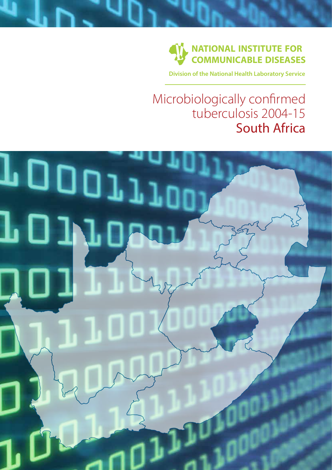

**Division of the National Health Laboratory Service**

## Microbiologically confirmed tuberculosis 2004-15 South Africa

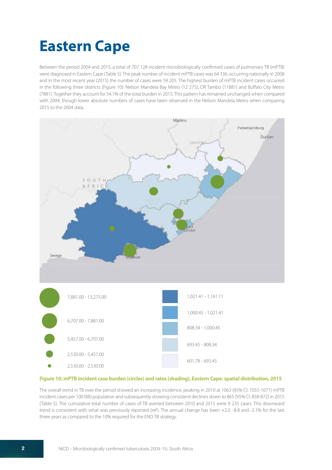## **Eastern Cape**

Between the period 2004 and 2015, a total of 707 128 incident microbiologically confirmed cases of pulmonary TB (mPTB) were diagnosed in Eastern Cape (Table 5). The peak number of incident mPTB cases was 64 336, occurring nationally in 2008 and in the most recent year (2015) the number of cases were 59 205. The highest burden of mPTB incident cases occurred in the following three districts (Figure 10): Nelson Mandela Bay Metro (12 275), OR Tambo (11881) and Buffalo City Metro (7881). Together they account for 54.1% of the total burden in 2015. This pattern has remained unchanged when compared with 2004, though lower absolute numbers of cases have been observed in the Nelson Mandela Metro when comparing 2015 to the 2004 data.



## **Figure 10: mPTB incident case burden (circles) and rates (shading), Eastern Cape: spatial distribution, 2015**

The overall trend in TB over the period showed an increasing incidence, peaking in 2010 at 1063 (95% CI: 1055-1071) mPTB incident cases per 100 000 population and subsequently showing consistent declines down to 865 (95% CI: 858-872) in 2015 (Table 5). The cumulative total number of cases of TB averted between 2010 and 2015 were 9 235 cases. This downward trend is consistent with what was previously reported (ref). The annual change has been +2.0, -8.8 and -2.1% for the last three years as compared to the 10% required for the END TB strategy.